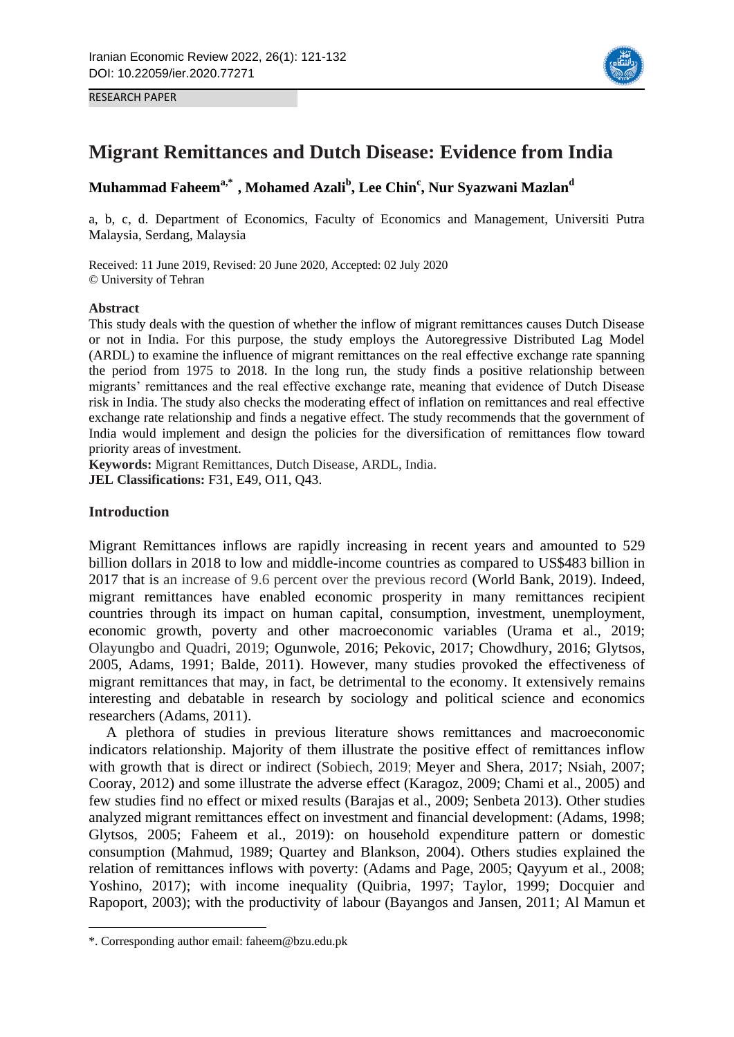



# **Migrant Remittances and Dutch Disease: Evidence from India**

# **Muhammad Faheema,\*1 , Mohamed Azali<sup>b</sup> , Lee Chin<sup>c</sup> , Nur Syazwani Mazlan<sup>d</sup>**

a, b, c, d. Department of Economics, Faculty of Economics and Management, Universiti Putra Malaysia, Serdang, Malaysia

Received: 11 June 2019, Revised: 20 June 2020, Accepted: 02 July 2020 © University of Tehran

#### **Abstract**

RESEARCH PAPER

This study deals with the question of whether the inflow of migrant remittances causes Dutch Disease or not in India. For this purpose, the study employs the Autoregressive Distributed Lag Model (ARDL) to examine the influence of migrant remittances on the real effective exchange rate spanning the period from 1975 to 2018. In the long run, the study finds a positive relationship between migrants' remittances and the real effective exchange rate, meaning that evidence of Dutch Disease risk in India. The study also checks the moderating effect of inflation on remittances and real effective exchange rate relationship and finds a negative effect. The study recommends that the government of India would implement and design the policies for the diversification of remittances flow toward priority areas of investment.

**Keywords:** Migrant Remittances, Dutch Disease, ARDL, India. **JEL Classifications:** F31, E49, O11, Q43.

# **Introduction**

**.** 

Migrant Remittances inflows are rapidly increasing in recent years and amounted to 529 billion dollars in 2018 to low and middle-income countries as compared to US\$483 billion in 2017 that is an increase of 9.6 percent over the previous record (World Bank, 2019). Indeed, migrant remittances have enabled economic prosperity in many remittances recipient countries through its impact on human capital, consumption, investment, unemployment, economic growth, poverty and other macroeconomic variables (Urama et al., 2019; Olayungbo and Quadri, 2019; Ogunwole, 2016; Pekovic, 2017; Chowdhury, 2016; Glytsos, 2005, Adams, 1991; Balde, 2011). However, many studies provoked the effectiveness of migrant remittances that may, in fact, be detrimental to the economy. It extensively remains interesting and debatable in research by sociology and political science and economics researchers (Adams, 2011).

A plethora of studies in previous literature shows remittances and macroeconomic indicators relationship. Majority of them illustrate the positive effect of remittances inflow with growth that is direct or indirect (Sobiech, 2019; Meyer and Shera, 2017; Nsiah, 2007; Cooray, 2012) and some illustrate the adverse effect (Karagoz, 2009; Chami et al., 2005) and few studies find no effect or mixed results (Barajas et al., 2009; Senbeta 2013). Other studies analyzed migrant remittances effect on investment and financial development: (Adams, 1998; Glytsos, 2005; Faheem et al., 2019): on household expenditure pattern or domestic consumption (Mahmud, 1989; Quartey and Blankson, 2004). Others studies explained the relation of remittances inflows with poverty: (Adams and Page, 2005; Qayyum et al., 2008; Yoshino, 2017); with income inequality (Quibria, 1997; Taylor, 1999; Docquier and Rapoport, 2003); with the productivity of labour (Bayangos and Jansen, 2011; Al Mamun et

<sup>\*.</sup> Corresponding author email: faheem@bzu.edu.pk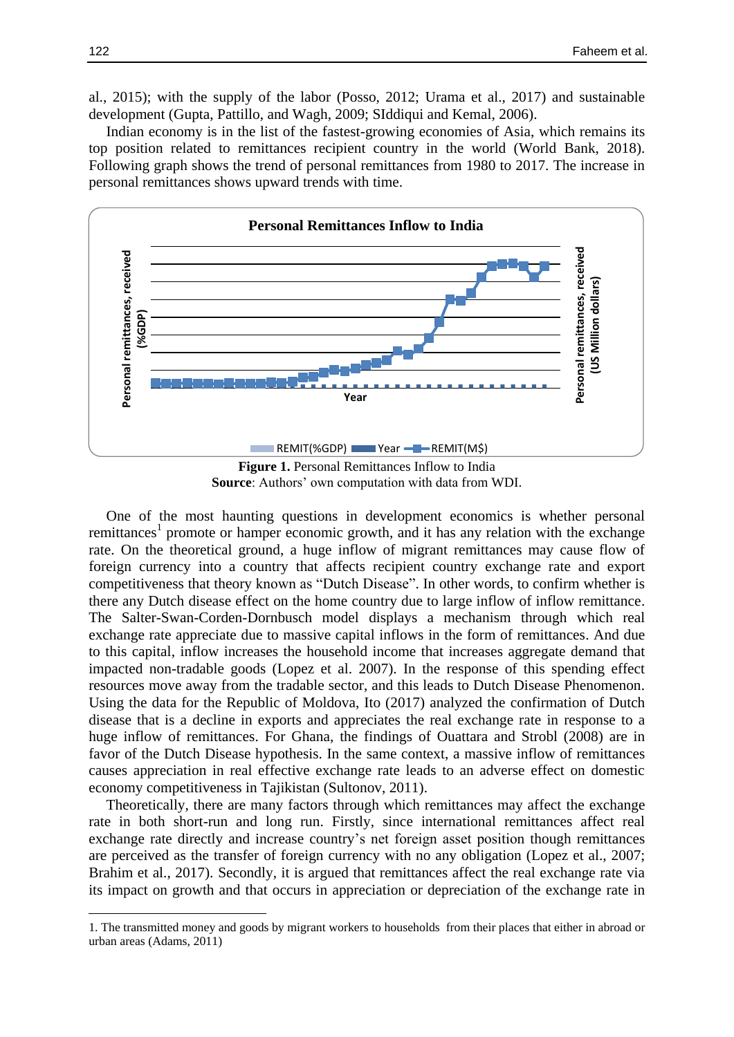al., 2015); with the supply of the labor (Posso, 2012; Urama et al., 2017) and sustainable development (Gupta, Pattillo, and Wagh, 2009; SIddiqui and Kemal, 2006).

Indian economy is in the list of the fastest-growing economies of Asia, which remains its top position related to remittances recipient country in the world (World Bank, 2018). Following graph shows the trend of personal remittances from 1980 to 2017. The increase in personal remittances shows upward trends with time.



**Source**: Authors' own computation with data from WDI.

One of the most haunting questions in development economics is whether personal remittances<sup>1</sup> promote or hamper economic growth, and it has any relation with the exchange rate. On the theoretical ground, a huge inflow of migrant remittances may cause flow of foreign currency into a country that affects recipient country exchange rate and export competitiveness that theory known as "Dutch Disease". In other words, to confirm whether is there any Dutch disease effect on the home country due to large inflow of inflow remittance. The Salter-Swan-Corden-Dornbusch model displays a mechanism through which real exchange rate appreciate due to massive capital inflows in the form of remittances. And due to this capital, inflow increases the household income that increases aggregate demand that impacted non-tradable goods (Lopez et al. 2007). In the response of this spending effect resources move away from the tradable sector, and this leads to Dutch Disease Phenomenon. Using the data for the Republic of Moldova, Ito (2017) analyzed the confirmation of Dutch disease that is a decline in exports and appreciates the real exchange rate in response to a huge inflow of remittances. For Ghana, the findings of Ouattara and Strobl (2008) are in favor of the Dutch Disease hypothesis. In the same context, a massive inflow of remittances causes appreciation in real effective exchange rate leads to an adverse effect on domestic economy competitiveness in Tajikistan (Sultonov, 2011).

Theoretically, there are many factors through which remittances may affect the exchange rate in both short-run and long run. Firstly, since international remittances affect real exchange rate directly and increase country's net foreign asset position though remittances are perceived as the transfer of foreign currency with no any obligation (Lopez et al., 2007; Brahim et al., 2017). Secondly, it is argued that remittances affect the real exchange rate via its impact on growth and that occurs in appreciation or depreciation of the exchange rate in

1

<sup>1.</sup> The transmitted money and goods by migrant workers to households from their places that either in abroad or urban areas (Adams, 2011)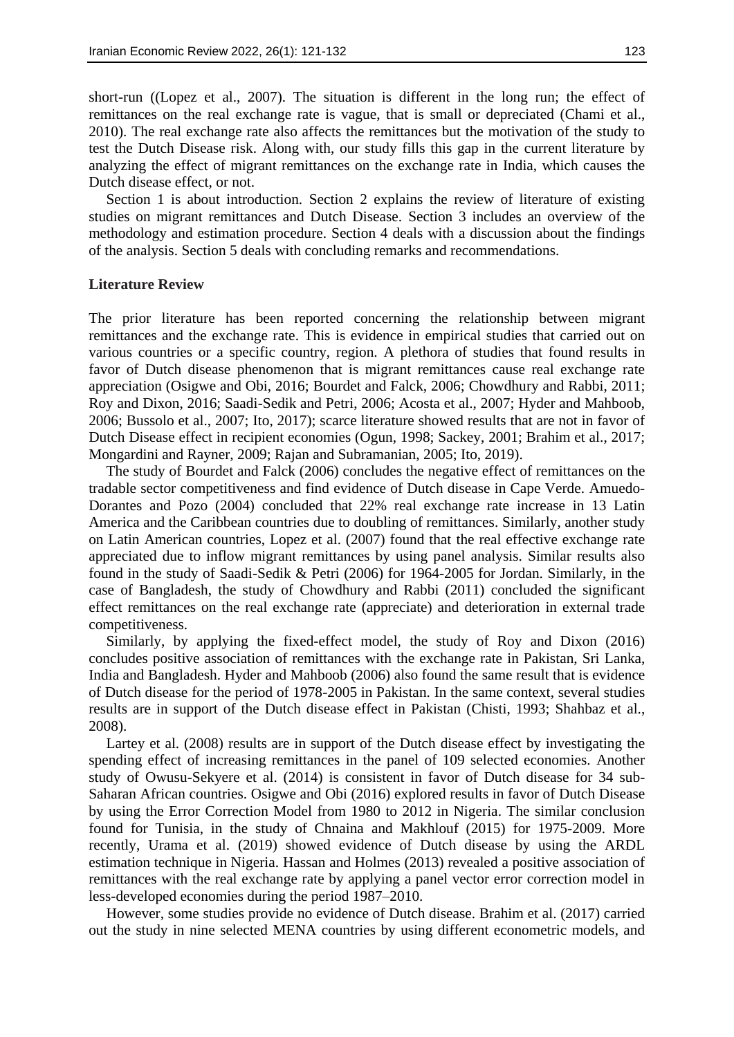short-run ((Lopez et al., 2007). The situation is different in the long run; the effect of remittances on the real exchange rate is vague, that is small or depreciated (Chami et al., 2010). The real exchange rate also affects the remittances but the motivation of the study to test the Dutch Disease risk. Along with, our study fills this gap in the current literature by analyzing the effect of migrant remittances on the exchange rate in India, which causes the Dutch disease effect, or not.

Section 1 is about introduction. Section 2 explains the review of literature of existing studies on migrant remittances and Dutch Disease. Section 3 includes an overview of the methodology and estimation procedure. Section 4 deals with a discussion about the findings of the analysis. Section 5 deals with concluding remarks and recommendations.

#### **Literature Review**

The prior literature has been reported concerning the relationship between migrant remittances and the exchange rate. This is evidence in empirical studies that carried out on various countries or a specific country, region. A plethora of studies that found results in favor of Dutch disease phenomenon that is migrant remittances cause real exchange rate appreciation (Osigwe and Obi, 2016; Bourdet and Falck, 2006; Chowdhury and Rabbi, 2011; Roy and Dixon, 2016; Saadi-Sedik and Petri, 2006; Acosta et al., 2007; Hyder and Mahboob, 2006; Bussolo et al., 2007; Ito, 2017); scarce literature showed results that are not in favor of Dutch Disease effect in recipient economies (Ogun, 1998; Sackey, 2001; Brahim et al., 2017; Mongardini and Rayner, 2009; Rajan and Subramanian, 2005; Ito, 2019).

The study of Bourdet and Falck (2006) concludes the negative effect of remittances on the tradable sector competitiveness and find evidence of Dutch disease in Cape Verde. Amuedo-Dorantes and Pozo (2004) concluded that 22% real exchange rate increase in 13 Latin America and the Caribbean countries due to doubling of remittances. Similarly, another study on Latin American countries, Lopez et al. (2007) found that the real effective exchange rate appreciated due to inflow migrant remittances by using panel analysis. Similar results also found in the study of Saadi-Sedik & Petri (2006) for 1964-2005 for Jordan. Similarly, in the case of Bangladesh, the study of Chowdhury and Rabbi (2011) concluded the significant effect remittances on the real exchange rate (appreciate) and deterioration in external trade competitiveness.

Similarly, by applying the fixed-effect model, the study of Roy and Dixon (2016) concludes positive association of remittances with the exchange rate in Pakistan, Sri Lanka, India and Bangladesh. Hyder and Mahboob (2006) also found the same result that is evidence of Dutch disease for the period of 1978-2005 in Pakistan. In the same context, several studies results are in support of the Dutch disease effect in Pakistan (Chisti, 1993; Shahbaz et al., 2008).

Lartey et al. (2008) results are in support of the Dutch disease effect by investigating the spending effect of increasing remittances in the panel of 109 selected economies. Another study of Owusu-Sekyere et al. (2014) is consistent in favor of Dutch disease for 34 sub-Saharan African countries. Osigwe and Obi (2016) explored results in favor of Dutch Disease by using the Error Correction Model from 1980 to 2012 in Nigeria. The similar conclusion found for Tunisia, in the study of Chnaina and Makhlouf (2015) for 1975-2009. More recently, Urama et al. (2019) showed evidence of Dutch disease by using the ARDL estimation technique in Nigeria. Hassan and Holmes (2013) revealed a positive association of remittances with the real exchange rate by applying a panel vector error correction model in less-developed economies during the period 1987–2010.

However, some studies provide no evidence of Dutch disease. Brahim et al. (2017) carried out the study in nine selected MENA countries by using different econometric models, and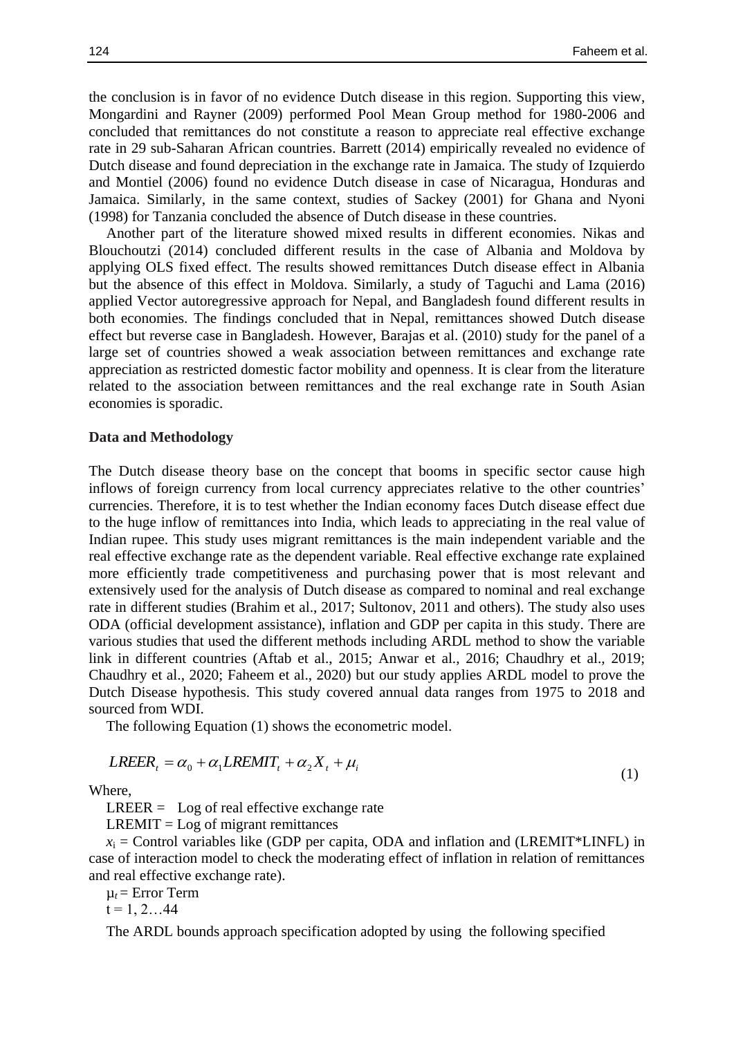the conclusion is in favor of no evidence Dutch disease in this region. Supporting this view, Mongardini and Rayner (2009) performed Pool Mean Group method for 1980-2006 and concluded that remittances do not constitute a reason to appreciate real effective exchange rate in 29 sub-Saharan African countries. Barrett (2014) empirically revealed no evidence of Dutch disease and found depreciation in the exchange rate in Jamaica. The study of Izquierdo and Montiel (2006) found no evidence Dutch disease in case of Nicaragua, Honduras and Jamaica. Similarly, in the same context, studies of Sackey (2001) for Ghana and Nyoni (1998) for Tanzania concluded the absence of Dutch disease in these countries.

Another part of the literature showed mixed results in different economies. Nikas and Blouchoutzi (2014) concluded different results in the case of Albania and Moldova by applying OLS fixed effect. The results showed remittances Dutch disease effect in Albania but the absence of this effect in Moldova. Similarly, a study of Taguchi and Lama (2016) applied Vector autoregressive approach for Nepal, and Bangladesh found different results in both economies. The findings concluded that in Nepal, remittances showed Dutch disease effect but reverse case in Bangladesh. However, Barajas et al. (2010) study for the panel of a large set of countries showed a weak association between remittances and exchange rate appreciation as restricted domestic factor mobility and openness. It is clear from the literature related to the association between remittances and the real exchange rate in South Asian economies is sporadic.

#### **Data and Methodology**

The Dutch disease theory base on the concept that booms in specific sector cause high inflows of foreign currency from local currency appreciates relative to the other countries' currencies. Therefore, it is to test whether the Indian economy faces Dutch disease effect due to the huge inflow of remittances into India, which leads to appreciating in the real value of Indian rupee. This study uses migrant remittances is the main independent variable and the real effective exchange rate as the dependent variable. Real effective exchange rate explained more efficiently trade competitiveness and purchasing power that is most relevant and extensively used for the analysis of Dutch disease as compared to nominal and real exchange rate in different studies (Brahim et al., 2017; Sultonov, 2011 and others). The study also uses ODA (official development assistance), inflation and GDP per capita in this study. There are various studies that used the different methods including ARDL method to show the variable link in different countries (Aftab et al., 2015; Anwar et al., 2016; Chaudhry et al., 2019; Chaudhry et al., 2020; Faheem et al., 2020) but our study applies ARDL model to prove the Dutch Disease hypothesis. This study covered annual data ranges from 1975 to 2018 and sourced from WDI.

The following Equation (1) shows the econometric model.

$$
LREER_{t} = \alpha_{0} + \alpha_{1} LREMIT_{t} + \alpha_{2} X_{t} + \mu_{i}
$$
\n(1)

Where,

 $LREER = Log of real effective exchange rate$ 

 $LREMIT = Log of migration$  remittances

 $x_i$  = Control variables like (GDP per capita, ODA and inflation and (LREMIT\*LINFL) in case of interaction model to check the moderating effect of inflation in relation of remittances and real effective exchange rate).

 $\mu_t$  = Error Term

 $t = 1, 2...44$ 

The ARDL bounds approach specification adopted by using the following specified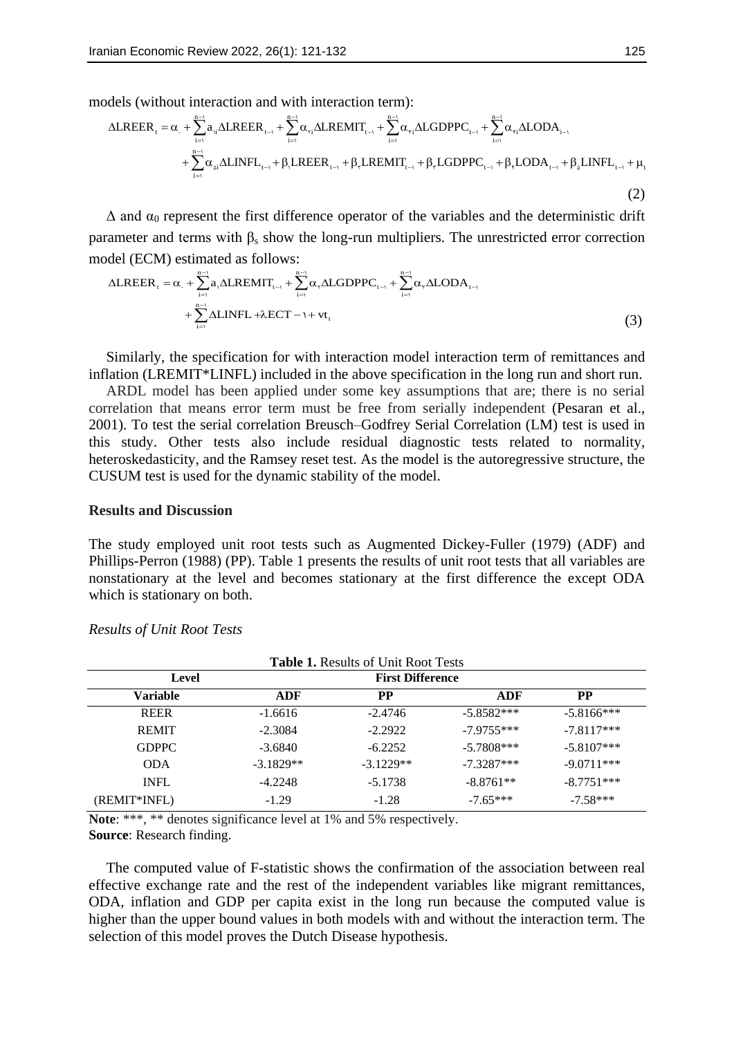models (without interaction and with interaction term):

$$
i\text{tan Economic Review 2022, 26(1): 121-132
$$
\n
$$
125
$$
\ndels (without interaction and with interaction term):\n
$$
\Delta LREER_t = \alpha_1 + \sum_{i=1}^{n-1} a_{i,i} \Delta LREER_{t-1} + \sum_{i=1}^{n-1} \alpha_{ri} \Delta LREMIT_{t-1} + \sum_{i=1}^{n-1} \alpha_{ri} \Delta LGDPPC_{t-1} + \sum_{i=1}^{n-1} \alpha_{ri} \Delta LODA_{i-1} + \sum_{i=1}^{n-1} \alpha_{ni} \Delta LINELR_{t-1} + \beta_1 LREER_{t-1} + \beta_1 LREENT_{t-1} + \beta_1 LGDPPC_{t-1} + \beta_1 LODA_{t-1} + \beta_2 LINFL_{t-1} + \mu_t
$$
\n(2)

 $\Delta$  and  $\alpha_0$  represent the first difference operator of the variables and the deterministic drift  $\Delta$  and  $\alpha_0$  represent the first difference operator of the variables and the deterministic different parameter and terms with β<sub>s</sub> show the long-run multipliers. The unrestricted error correction model (ECM) estimate

parameter and terms with 
$$
p_s
$$
 show the long-tan multiplets. The intersection field (ECM) estimated as follows:

\n
$$
\Delta LREER_{t} = \alpha_{t} + \sum_{i=1}^{n-1} a_{t} \Delta LREMIT_{t-1} + \sum_{i=1}^{n-1} \alpha_{t} \Delta LGDPPC_{t-1} + \sum_{i=1}^{n-1} \alpha_{t} \Delta LODA_{t-1} + \sum_{i=1}^{n-1} \Delta LINFL + \lambda ECT - 1 + vt_{t}
$$
\n(3)

Similarly, the specification for with interaction model interaction term of remittances and inflation (LREMIT\*LINFL) included in the above specification in the long run and short run.

ARDL model has been applied under some key assumptions that are; there is no serial correlation that means error term must be free from serially independent (Pesaran et al., 2001). To test the serial correlation Breusch–Godfrey Serial Correlation (LM) test is used in this study. Other tests also include residual diagnostic tests related to normality, heteroskedasticity, and the Ramsey reset test. As the model is the autoregressive structure, the CUSUM test is used for the dynamic stability of the model.

#### **Results and Discussion**

The study employed unit root tests such as Augmented Dickey-Fuller (1979) (ADF) and Phillips-Perron (1988) (PP). Table 1 presents the results of unit root tests that all variables are nonstationary at the level and becomes stationary at the first difference the except ODA which is stationary on both.

| <b>Table 1. Results of Unit Root Tests</b> |                         |             |              |              |
|--------------------------------------------|-------------------------|-------------|--------------|--------------|
| Level                                      | <b>First Difference</b> |             |              |              |
| Variable                                   | ADF                     | PP.         | ADF          | <b>PP</b>    |
| <b>REER</b>                                | $-1.6616$               | $-2.4746$   | $-5.8582***$ | $-5.8166***$ |
| <b>REMIT</b>                               | $-2.3084$               | $-2.2922$   | $-7.9755***$ | $-7.8117***$ |
| GDPPC.                                     | $-3.6840$               | $-6.2252$   | $-5.7808***$ | $-5.8107***$ |
| <b>ODA</b>                                 | $-3.1829**$             | $-3.1229**$ | $-7.3287***$ | $-9.0711***$ |
| <b>INFL</b>                                | $-4.2248$               | $-5.1738$   | $-8.8761**$  | $-8.7751***$ |
| (REMIT*INFL)                               | $-1.29$                 | $-1.28$     | $-7.65***$   | $-7.58***$   |

# *Results of Unit Root Tests*

**Note**: \*\*\*, \*\* denotes significance level at 1% and 5% respectively. **Source**: Research finding.

The computed value of F-statistic shows the confirmation of the association between real effective exchange rate and the rest of the independent variables like migrant remittances, ODA, inflation and GDP per capita exist in the long run because the computed value is higher than the upper bound values in both models with and without the interaction term. The selection of this model proves the Dutch Disease hypothesis.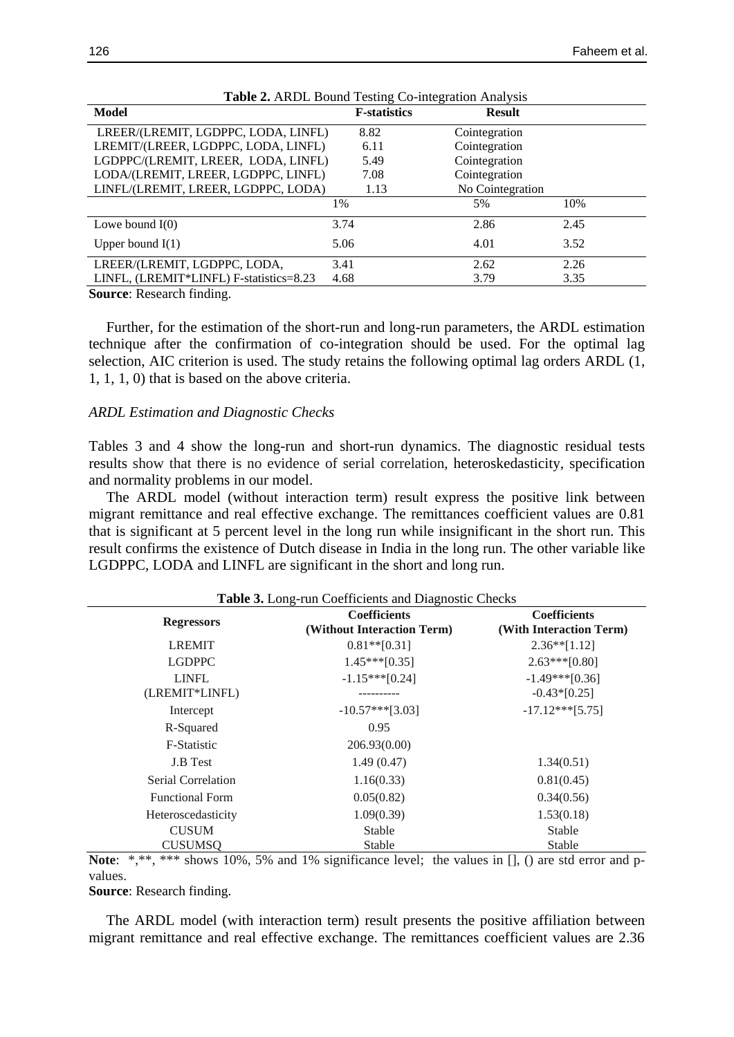| Model                                   | <b>F</b> -statistics | <b>Result</b>    |      |
|-----------------------------------------|----------------------|------------------|------|
| LREER/(LREMIT, LGDPPC, LODA, LINFL)     | 8.82                 | Cointegration    |      |
| LREMIT/(LREER, LGDPPC, LODA, LINFL)     | 6.11                 | Cointegration    |      |
| LGDPPC/(LREMIT, LREER, LODA, LINFL)     | 5.49                 | Cointegration    |      |
| LODA/(LREMIT, LREER, LGDPPC, LINFL)     | 7.08                 | Cointegration    |      |
| LINFL/(LREMIT, LREER, LGDPPC, LODA)     | 1.13                 | No Cointegration |      |
|                                         | 1%                   | 5%               | 10%  |
| Lowe bound $I(0)$                       | 3.74                 | 2.86             | 2.45 |
| Upper bound $I(1)$                      | 5.06                 | 4.01             | 3.52 |
| LREER/(LREMIT, LGDPPC, LODA,            | 3.41                 | 2.62             | 2.26 |
| LINFL, (LREMIT*LINFL) F-statistics=8.23 | 4.68                 | 3.79             | 3.35 |

| Table 2. ARDL Bound Testing Co-integration Analysis |  |  |  |  |
|-----------------------------------------------------|--|--|--|--|
|-----------------------------------------------------|--|--|--|--|

**Source**: Research finding.

Further, for the estimation of the short-run and long-run parameters, the ARDL estimation technique after the confirmation of co-integration should be used. For the optimal lag selection, AIC criterion is used. The study retains the following optimal lag orders ARDL (1, 1, 1, 1, 0) that is based on the above criteria.

#### *ARDL Estimation and Diagnostic Checks*

Tables 3 and 4 show the long-run and short-run dynamics. The diagnostic residual tests results show that there is no evidence of serial correlation, heteroskedasticity, specification and normality problems in our model.

The ARDL model (without interaction term) result express the positive link between migrant remittance and real effective exchange. The remittances coefficient values are 0.81 that is significant at 5 percent level in the long run while insignificant in the short run. This result confirms the existence of Dutch disease in India in the long run. The other variable like LGDPPC, LODA and LINFL are significant in the short and long run.

|                        | <b>Coefficients</b>        | <b>Coefficients</b>     |
|------------------------|----------------------------|-------------------------|
| <b>Regressors</b>      | (Without Interaction Term) | (With Interaction Term) |
| <b>LREMIT</b>          | $0.81**$ [0.31]            | $2.36**[1.12]$          |
| <b>LGDPPC</b>          | $1.45***[0.35]$            | $2.63***[0.80]$         |
| <b>LINFL</b>           | $-1.15***$ [0.24]          | $-1.49***[0.36]$        |
| (LREMIT*LINFL)         |                            | $-0.43*[0.25]$          |
| Intercept              | $-10.57***$ [3.03]         | $-17.12***$ [5.75]      |
| R-Squared              | 0.95                       |                         |
| <b>F-Statistic</b>     | 206.93(0.00)               |                         |
| J.B Test               | 1.49(0.47)                 | 1.34(0.51)              |
| Serial Correlation     | 1.16(0.33)                 | 0.81(0.45)              |
| <b>Functional Form</b> | 0.05(0.82)                 | 0.34(0.56)              |
| Heteroscedasticity     | 1.09(0.39)                 | 1.53(0.18)              |
| <b>CUSUM</b>           | Stable                     | Stable                  |
| <b>CUSUMSQ</b>         | Stable                     | Stable                  |

**Note**: \*,\*\*,\*\*\* shows 10%, 5% and 1% significance level; the values in [], () are std error and pvalues.

**Source**: Research finding.

The ARDL model (with interaction term) result presents the positive affiliation between migrant remittance and real effective exchange. The remittances coefficient values are 2.36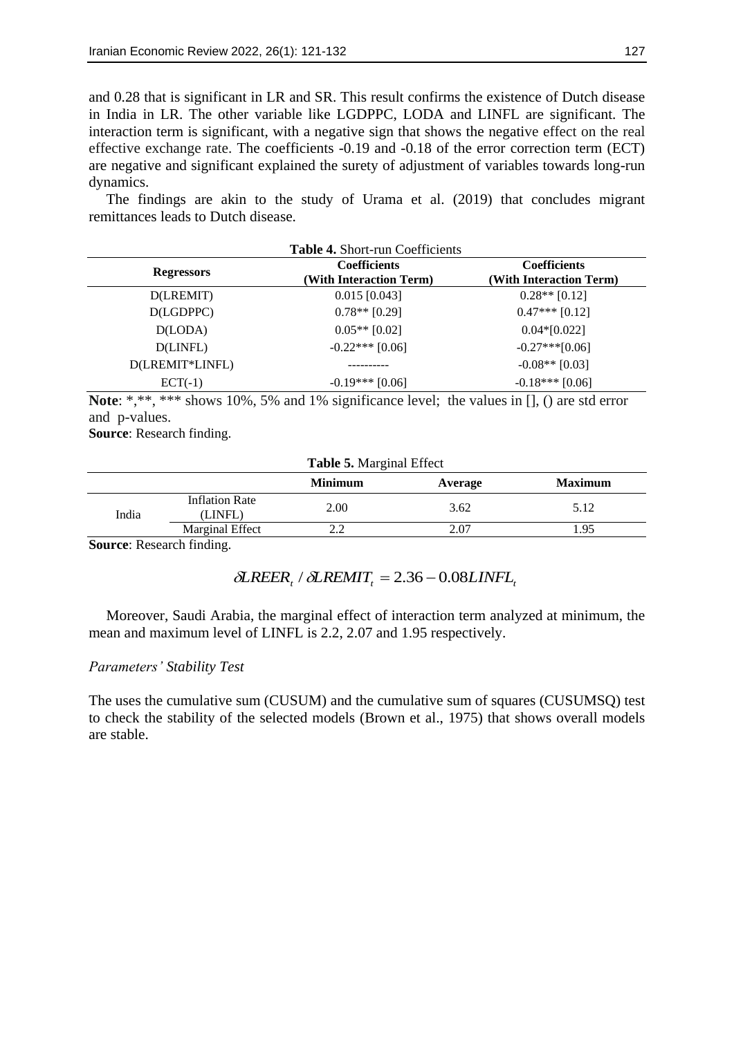and 0.28 that is significant in LR and SR. This result confirms the existence of Dutch disease in India in LR. The other variable like LGDPPC, LODA and LINFL are significant. The interaction term is significant, with a negative sign that shows the negative effect on the real effective exchange rate. The coefficients -0.19 and -0.18 of the error correction term (ECT) are negative and significant explained the surety of adjustment of variables towards long-run dynamics.

The findings are akin to the study of Urama et al. (2019) that concludes migrant remittances leads to Dutch disease.

| Table 4. Short-run Coefficients |                         |                         |  |
|---------------------------------|-------------------------|-------------------------|--|
| <b>Regressors</b>               | <b>Coefficients</b>     | <b>Coefficients</b>     |  |
|                                 | (With Interaction Term) | (With Interaction Term) |  |
| D(LREMIT)                       | $0.015$ [0.043]         | $0.28**$ [0.12]         |  |
| D(LGDPPC)                       | $0.78**$ [0.29]         | $0.47***$ [0.12]        |  |
| D(LODA)                         | $0.05**$ [0.02]         | $0.04*[0.022]$          |  |
| D(LINFL)                        | $-0.22***$ [0.06]       | $-0.27$ *** $[0.06]$    |  |
| D(LREMIT*LINFL)                 |                         | $-0.08**$ [0.03]        |  |
| $ECT(-1)$                       | $-0.19***$ [0.06]       | $-0.18***$ [0.06]       |  |

Note: \*,\*\*, \*\*\* shows 10%, 5% and 1% significance level; the values in  $[1, 0]$  are std error and p-values.

**Source**: Research finding.

| <b>Table 5. Marginal Effect</b> |                           |                |         |                |
|---------------------------------|---------------------------|----------------|---------|----------------|
|                                 |                           | <b>Minimum</b> | Average | <b>Maximum</b> |
| India                           | Inflation Rate<br>(LINFL) | 2.00           | 3.62    | 5.12           |
|                                 | <b>Marginal Effect</b>    |                | 2.07    | .95            |

**Source**: Research finding.

 $\delta LREER_t / \delta LREMIT_t = 2.36 - 0.08 LINFL_t$ 

Moreover, Saudi Arabia, the marginal effect of interaction term analyzed at minimum, the mean and maximum level of LINFL is 2.2, 2.07 and 1.95 respectively.

# *Parameters' Stability Test*

The uses the cumulative sum (CUSUM) and the cumulative sum of squares (CUSUMSQ) test to check the stability of the selected models (Brown et al., 1975) that shows overall models are stable.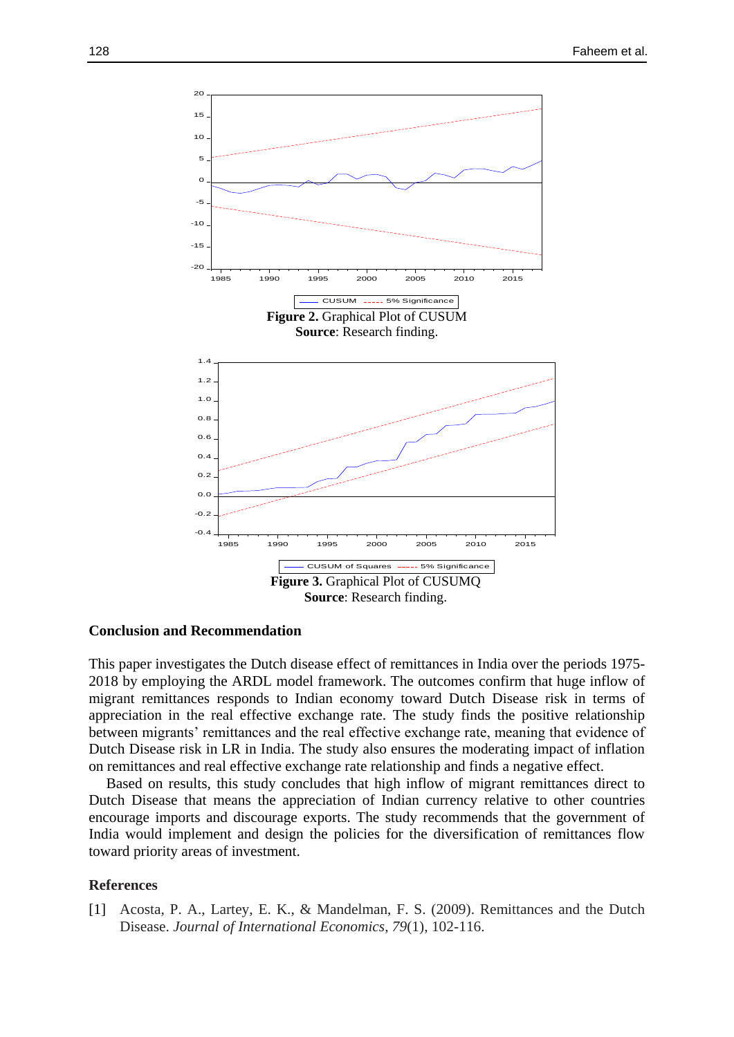

#### **Conclusion and Recommendation**

This paper investigates the Dutch disease effect of remittances in India over the periods 1975- 2018 by employing the ARDL model framework. The outcomes confirm that huge inflow of migrant remittances responds to Indian economy toward Dutch Disease risk in terms of appreciation in the real effective exchange rate. The study finds the positive relationship between migrants' remittances and the real effective exchange rate, meaning that evidence of Dutch Disease risk in LR in India. The study also ensures the moderating impact of inflation on remittances and real effective exchange rate relationship and finds a negative effect.

Based on results, this study concludes that high inflow of migrant remittances direct to Dutch Disease that means the appreciation of Indian currency relative to other countries encourage imports and discourage exports. The study recommends that the government of India would implement and design the policies for the diversification of remittances flow toward priority areas of investment.

### **References**

[1] Acosta, P. A., Lartey, E. K., & Mandelman, F. S. (2009). Remittances and the Dutch Disease. *Journal of International Economics*, *79*(1), 102-116.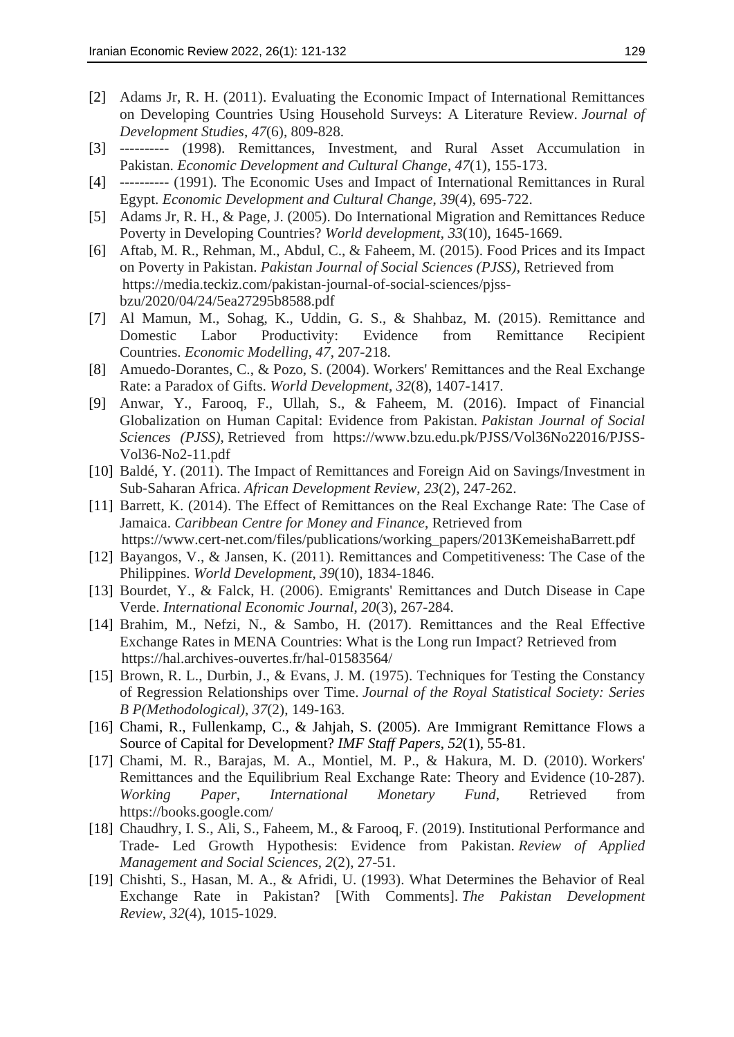- [2] Adams Jr, R. H. (2011). Evaluating the Economic Impact of International Remittances on Developing Countries Using Household Surveys: A Literature Review. *Journal of Development Studies*, *47*(6), 809-828.
- [3] ---------- (1998). Remittances, Investment, and Rural Asset Accumulation in Pakistan. *Economic Development and Cultural Change*, *47*(1), 155-173.
- [4] ---------- (1991). The Economic Uses and Impact of International Remittances in Rural Egypt. *Economic Development and Cultural Change*, *39*(4), 695-722.
- [5] Adams Jr, R. H., & Page, J. (2005). Do International Migration and Remittances Reduce Poverty in Developing Countries? *World development*, *33*(10), 1645-1669.
- [6] Aftab, M. R., Rehman, M., Abdul, C., & Faheem, M. (2015). Food Prices and its Impact on Poverty in Pakistan. *Pakistan Journal of Social Sciences (PJSS)*, Retrieved from https://media.teckiz.com/pakistan-journal-of-social-sciences/pjssbzu/2020/04/24/5ea27295b8588.pdf
- [7] Al Mamun, M., Sohag, K., Uddin, G. S., & Shahbaz, M. (2015). Remittance and Domestic Labor Productivity: Evidence from Remittance Recipient Countries. *Economic Modelling*, *47*, 207-218.
- [8] Amuedo-Dorantes, C., & Pozo, S. (2004). Workers' Remittances and the Real Exchange Rate: a Paradox of Gifts. *World Development*, *32*(8), 1407-1417.
- [9] Anwar, Y., Farooq, F., Ullah, S., & Faheem, M. (2016). Impact of Financial Globalization on Human Capital: Evidence from Pakistan. *Pakistan Journal of Social Sciences (PJSS)*, Retrieved from https://www.bzu.edu.pk/PJSS/Vol36No22016/PJSS-Vol36-No2-11.pdf
- [10] Baldé, Y. (2011). The Impact of Remittances and Foreign Aid on Savings/Investment in Sub‐Saharan Africa. *African Development Review*, *23*(2), 247-262.
- [11] Barrett, K. (2014). The Effect of Remittances on the Real Exchange Rate: The Case of Jamaica. *Caribbean Centre for Money and Finance*, Retrieved from https://www.cert-net.com/files/publications/working\_papers/2013KemeishaBarrett.pdf
- [12] Bayangos, V., & Jansen, K. (2011). Remittances and Competitiveness: The Case of the Philippines. *World Development*, *39*(10), 1834-1846.
- [13] Bourdet, Y., & Falck, H. (2006). Emigrants' Remittances and Dutch Disease in Cape Verde. *International Economic Journal*, *20*(3), 267-284.
- [14] Brahim, M., Nefzi, N., & Sambo, H. (2017). Remittances and the Real Effective Exchange Rates in MENA Countries: What is the Long run Impact? Retrieved from https://hal.archives-ouvertes.fr/hal-01583564/
- [15] Brown, R. L., Durbin, J., & Evans, J. M. (1975). Techniques for Testing the Constancy of Regression Relationships over Time. *Journal of the Royal Statistical Society: Series B P(Methodological)*, *37*(2), 149-163.
- [16] Chami, R., Fullenkamp, C., & Jahjah, S. (2005). Are Immigrant Remittance Flows a Source of Capital for Development? *IMF Staff Papers*, *52*(1), 55-81.
- [17] Chami, M. R., Barajas, M. A., Montiel, M. P., & Hakura, M. D. (2010). Workers' Remittances and the Equilibrium Real Exchange Rate: Theory and Evidence (10-287). *Working Paper, International Monetary Fund*, Retrieved from https://books.google.com/
- [18] Chaudhry, I. S., Ali, S., Faheem, M., & Farooq, F. (2019). Institutional Performance and Trade- Led Growth Hypothesis: Evidence from Pakistan. *Review of Applied Management and Social Sciences, 2*(2), 27-51.
- [19] Chishti, S., Hasan, M. A., & Afridi, U. (1993). What Determines the Behavior of Real Exchange Rate in Pakistan? [With Comments]. *The Pakistan Development Review*, *32*(4), 1015-1029.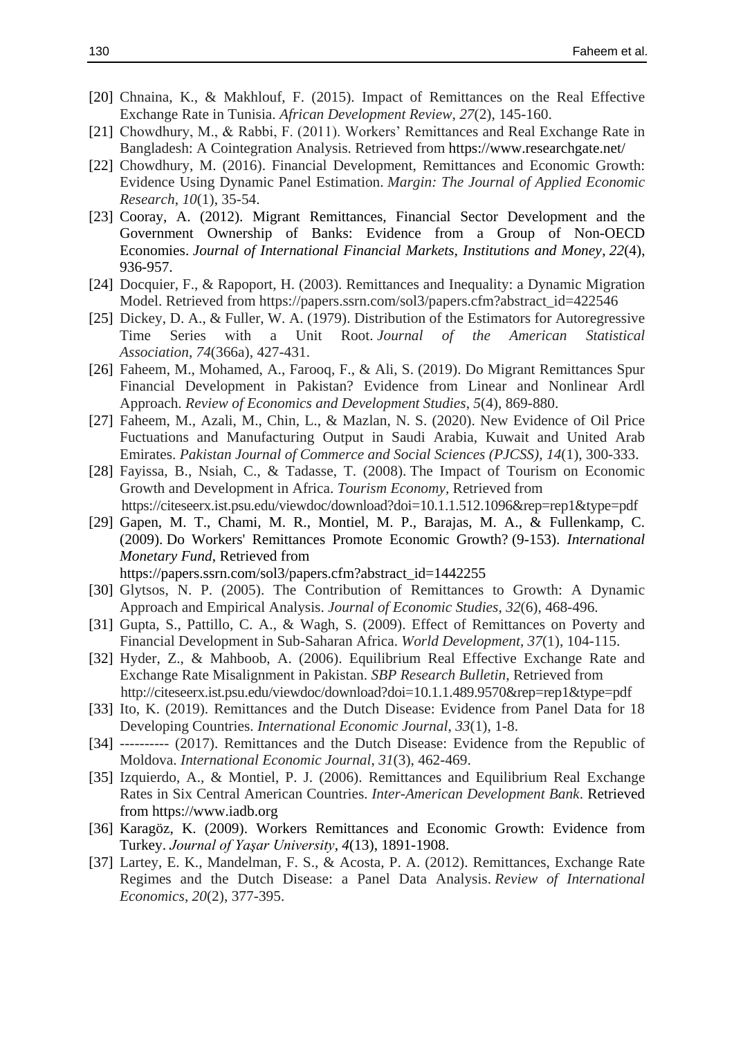- [20] Chnaina, K., & Makhlouf, F. (2015). Impact of Remittances on the Real Effective Exchange Rate in Tunisia. *African Development Review*, *27*(2), 145-160.
- [21] Chowdhury, M., & Rabbi, F. (2011). Workers' Remittances and Real Exchange Rate in Bangladesh: A Cointegration Analysis. Retrieved from https://www.researchgate.net/
- [22] Chowdhury, M. (2016). Financial Development, Remittances and Economic Growth: Evidence Using Dynamic Panel Estimation. *Margin: The Journal of Applied Economic Research*, *10*(1), 35-54.
- [23] Cooray, A. (2012). Migrant Remittances, Financial Sector Development and the Government Ownership of Banks: Evidence from a Group of Non-OECD Economies. *Journal of International Financial Markets, Institutions and Money*, *22*(4), 936-957.
- [24] Docquier, F., & Rapoport, H. (2003). Remittances and Inequality: a Dynamic Migration Model. Retrieved from https://papers.ssrn.com/sol3/papers.cfm?abstract\_id=422546
- [25] Dickey, D. A., & Fuller, W. A. (1979). Distribution of the Estimators for Autoregressive Time Series with a Unit Root. *Journal of the American Statistical Association*, *74*(366a), 427-431.
- [26] Faheem, M., Mohamed, A., Farooq, F., & Ali, S. (2019). Do Migrant Remittances Spur Financial Development in Pakistan? Evidence from Linear and Nonlinear Ardl Approach. *Review of Economics and Development Studies*, *5*(4), 869-880.
- [27] Faheem, M., Azali, M., Chin, L., & Mazlan, N. S. (2020). New Evidence of Oil Price Fuctuations and Manufacturing Output in Saudi Arabia, Kuwait and United Arab Emirates. *Pakistan Journal of Commerce and Social Sciences (PJCSS)*, *14*(1), 300-333.
- [28] Fayissa, B., Nsiah, C., & Tadasse, T. (2008). The Impact of Tourism on Economic Growth and Development in Africa. *Tourism Economy,* Retrieved from https://citeseerx.ist.psu.edu/viewdoc/download?doi=10.1.1.512.1096&rep=rep1&type=pdf
- [29] Gapen, M. T., Chami, M. R., Montiel, M. P., Barajas, M. A., & Fullenkamp, C. (2009). Do Workers' Remittances Promote Economic Growth? (9-153). *International Monetary Fund*, Retrieved from

https://papers.ssrn.com/sol3/papers.cfm?abstract\_id=1442255

- [30] Glytsos, N. P. (2005). The Contribution of Remittances to Growth: A Dynamic Approach and Empirical Analysis. *Journal of Economic Studies*, *32*(6), 468-496.
- [31] Gupta, S., Pattillo, C. A., & Wagh, S. (2009). Effect of Remittances on Poverty and Financial Development in Sub-Saharan Africa. *World Development*, *37*(1), 104-115.
- [32] Hyder, Z., & Mahboob, A. (2006). Equilibrium Real Effective Exchange Rate and Exchange Rate Misalignment in Pakistan. *SBP Research Bulletin*, Retrieved from http://citeseerx.ist.psu.edu/viewdoc/download?doi=10.1.1.489.9570&rep=rep1&type=pdf
- [33] Ito, K. (2019). Remittances and the Dutch Disease: Evidence from Panel Data for 18 Developing Countries. *International Economic Journal*, *33*(1), 1-8.
- [34] ---------- (2017). Remittances and the Dutch Disease: Evidence from the Republic of Moldova. *International Economic Journal*, *31*(3), 462-469.
- [35] Izquierdo, A., & Montiel, P. J. (2006). Remittances and Equilibrium Real Exchange Rates in Six Central American Countries. *Inter-American Development Bank*. Retrieved from https://www.iadb.org
- [36] Karagöz, K. (2009). Workers Remittances and Economic Growth: Evidence from Turkey. *Journal of Yaşar University*, *4*(13), 1891-1908.
- [37] Lartey, E. K., Mandelman, F. S., & Acosta, P. A. (2012). Remittances, Exchange Rate Regimes and the Dutch Disease: a Panel Data Analysis. *Review of International Economics*, *20*(2), 377-395.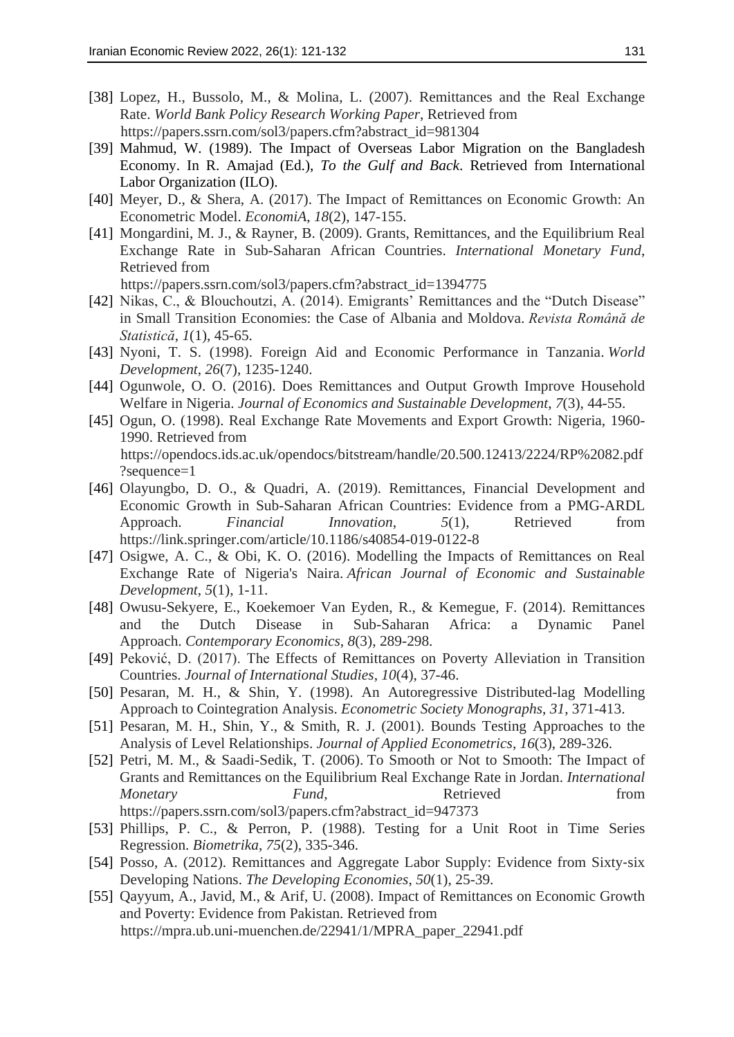- [38] Lopez, H., Bussolo, M., & Molina, L. (2007). Remittances and the Real Exchange Rate. *World Bank Policy Research Working Paper*, Retrieved from https://papers.ssrn.com/sol3/papers.cfm?abstract\_id=981304
- [39] Mahmud, W. (1989). The Impact of Overseas Labor Migration on the Bangladesh Economy. In R. Amajad (Ed.), *To the Gulf and Back*. Retrieved from International Labor Organization (ILO).
- [40] Meyer, D., & Shera, A. (2017). The Impact of Remittances on Economic Growth: An Econometric Model. *EconomiA*, *18*(2), 147-155.
- [41] Mongardini, M. J., & Rayner, B. (2009). Grants, Remittances, and the Equilibrium Real Exchange Rate in Sub-Saharan African Countries. *International Monetary Fund*, Retrieved from

https://papers.ssrn.com/sol3/papers.cfm?abstract\_id=1394775

- [42] Nikas, C., & Blouchoutzi, A. (2014). Emigrants' Remittances and the "Dutch Disease" in Small Transition Economies: the Case of Albania and Moldova. *Revista Română de Statistică*, *1*(1), 45-65.
- [43] Nyoni, T. S. (1998). Foreign Aid and Economic Performance in Tanzania. *World Development*, *26*(7), 1235-1240.
- [44] Ogunwole, O. O. (2016). Does Remittances and Output Growth Improve Household Welfare in Nigeria. *Journal of Economics and Sustainable Development*, *7*(3), 44-55.
- [45] Ogun, O. (1998). Real Exchange Rate Movements and Export Growth: Nigeria, 1960- 1990. Retrieved from https://opendocs.ids.ac.uk/opendocs/bitstream/handle/20.500.12413/2224/RP%2082.pdf ?sequence=1
- [46] Olayungbo, D. O., & Quadri, A. (2019). Remittances, Financial Development and Economic Growth in Sub-Saharan African Countries: Evidence from a PMG-ARDL Approach. *Financial Innovation*, *5*(1), Retrieved from https://link.springer.com/article/10.1186/s40854-019-0122-8
- [47] Osigwe, A. C., & Obi, K. O. (2016). Modelling the Impacts of Remittances on Real Exchange Rate of Nigeria's Naira. *African Journal of Economic and Sustainable Development*, *5*(1), 1-11.
- [48] Owusu-Sekyere, E., Koekemoer Van Eyden, R., & Kemegue, F. (2014). Remittances and the Dutch Disease in Sub-Saharan Africa: a Dynamic Panel Approach. *Contemporary Economics*, *8*(3), 289-298.
- [49] Peković, D. (2017). The Effects of Remittances on Poverty Alleviation in Transition Countries. *Journal of International Studies*, *10*(4), 37-46.
- [50] Pesaran, M. H., & Shin, Y. (1998). An Autoregressive Distributed-lag Modelling Approach to Cointegration Analysis. *Econometric Society Monographs*, *31*, 371-413.
- [51] Pesaran, M. H., Shin, Y., & Smith, R. J. (2001). Bounds Testing Approaches to the Analysis of Level Relationships. *Journal of Applied Econometrics*, *16*(3), 289-326.
- [52] Petri, M. M., & Saadi-Sedik, T. (2006). To Smooth or Not to Smooth: The Impact of Grants and Remittances on the Equilibrium Real Exchange Rate in Jordan. *International Monetary Fund,* Retrieved from https://papers.ssrn.com/sol3/papers.cfm?abstract\_id=947373
- [53] Phillips, P. C., & Perron, P. (1988). Testing for a Unit Root in Time Series Regression. *Biometrika*, *75*(2), 335-346.
- [54] Posso, A. (2012). Remittances and Aggregate Labor Supply: Evidence from Sixty-six Developing Nations. *The Developing Economies*, *50*(1), 25-39.
- [55] Qayyum, A., Javid, M., & Arif, U. (2008). Impact of Remittances on Economic Growth and Poverty: Evidence from Pakistan. Retrieved from https://mpra.ub.uni-muenchen.de/22941/1/MPRA\_paper\_22941.pdf